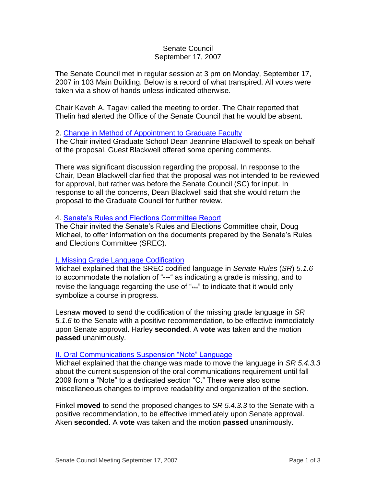## Senate Council September 17, 2007

The Senate Council met in regular session at 3 pm on Monday, September 17, 2007 in 103 Main Building. Below is a record of what transpired. All votes were taken via a show of hands unless indicated otherwise.

Chair Kaveh A. Tagavi called the meeting to order. The Chair reported that Thelin had alerted the Office of the Senate Council that he would be absent.

## 2. [Change in Method of Appointment to Graduate Faculty](http://www.uky.edu/USC/New/files/20070917/Chnge%20Methd%20Appt%20Grad%20Fac_Complete_TO%20SC.pdf)

The Chair invited Graduate School Dean Jeannine Blackwell to speak on behalf of the proposal. Guest Blackwell offered some opening comments.

There was significant discussion regarding the proposal. In response to the Chair, Dean Blackwell clarified that the proposal was not intended to be reviewed for approval, but rather was before the Senate Council (SC) for input. In response to all the concerns, Dean Blackwell said that she would return the proposal to the Graduate Council for further review.

### 4. [Senate's Rules and Elections Committee Report](http://www.uky.edu/USC/New/files/20070827/Tentative%209-10-07%20Senate%20Agenda.pdf)

The Chair invited the Senate's Rules and Elections Committee chair, Doug Michael, to offer information on the documents prepared by the Senate's Rules and Elections Committee (SREC).

# [I. Missing Grade Language Codification](http://www.uky.edu/USC/New/files/20070827/SC%20Rpt_1-MissingGrade.pdf)

Michael explained that the SREC codified language in *Senate Rules* (*SR*) *5.1.6* to accommodate the notation of "---" as indicating a grade is missing, and to revise the language regarding the use of "\*\*\*" to indicate that it would only symbolize a course in progress.

Lesnaw **moved** to send the codification of the missing grade language in *SR 5.1.6* to the Senate with a positive recommendation, to be effective immediately upon Senate approval. Harley **seconded**. A **vote** was taken and the motion **passed** unanimously.

### [II. Oral Communications Suspension "Note" Language](http://www.uky.edu/USC/New/files/20070827/SC%20Rpt_2-OralCommSuspNote.pdf)

Michael explained that the change was made to move the language in *SR 5.4.3.3*  about the current suspension of the oral communications requirement until fall 2009 from a "Note" to a dedicated section "C." There were also some miscellaneous changes to improve readability and organization of the section.

Finkel **moved** to send the proposed changes to *SR 5.4.3.3* to the Senate with a positive recommendation, to be effective immediately upon Senate approval. Aken **seconded**. A **vote** was taken and the motion **passed** unanimously.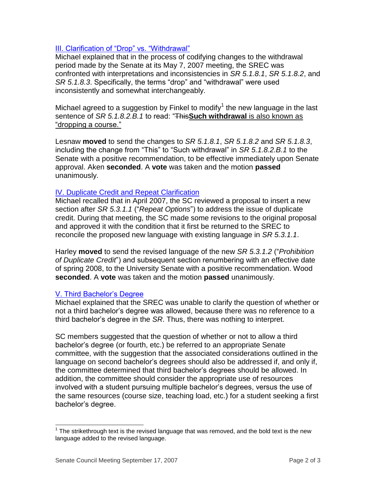# [III. Clarification of "Drop" vs. "Withdrawal"](http://www.uky.edu/USC/New/files/20070827/SC%20Rpt_3-Clarify_DropWithdrawal.pdf)

Michael explained that in the process of codifying changes to the withdrawal period made by the Senate at its May 7, 2007 meeting, the SREC was confronted with interpretations and inconsistencies in *SR 5.1.8.1*, *SR 5.1.8.2*, and *SR 5.1.8.3*. Specifically, the terms "drop" and "withdrawal" were used inconsistently and somewhat interchangeably.

Michael agreed to a suggestion by Finkel to modify<sup>1</sup> the new language in the last sentence of *SR 5.1.8.2.B.1* to read: "This**Such withdrawal** is also known as "dropping a course."

Lesnaw **moved** to send the changes to *SR 5.1.8.1*, *SR 5.1.8.2* and *SR 5.1.8.3*, including the change from "This" to "Such withdrawal" in *SR 5.1.8.2.B.1* to the Senate with a positive recommendation, to be effective immediately upon Senate approval. Aken **seconded**. A **vote** was taken and the motion **passed**  unanimously.

# [IV. Duplicate Credit and Repeat Clarification](http://www.uky.edu/USC/New/files/20070827/SC%20Rpt_4-DuplicateCredRepeat.pdf)

Michael recalled that in April 2007, the SC reviewed a proposal to insert a new section after *SR 5.3.1.1* ("*Repeat Options*") to address the issue of duplicate credit. During that meeting, the SC made some revisions to the original proposal and approved it with the condition that it first be returned to the SREC to reconcile the proposed new language with existing language in *SR 5.3.1.1*.

Harley **moved** to send the revised language of the new *SR 5.3.1.2* ("*Prohibition of Duplicate Credit*") and subsequent section renumbering with an effective date of spring 2008, to the University Senate with a positive recommendation. Wood **seconded**. A **vote** was taken and the motion **passed** unanimously.

# [V. Third Bachelor's Degree](http://www.uky.edu/USC/New/files/20070827/SC%20Rpt_5-ThirdBachDeg.pdf)

Michael explained that the SREC was unable to clarify the question of whether or not a third bachelor's degree was allowed, because there was no reference to a third bachelor's degree in the *SR*. Thus, there was nothing to interpret.

SC members suggested that the question of whether or not to allow a third bachelor's degree (or fourth, etc.) be referred to an appropriate Senate committee, with the suggestion that the associated considerations outlined in the language on second bachelor's degrees should also be addressed if, and only if, the committee determined that third bachelor's degrees should be allowed. In addition, the committee should consider the appropriate use of resources involved with a student pursuing multiple bachelor's degrees, versus the use of the same resources (course size, teaching load, etc.) for a student seeking a first bachelor's degree.

j

 $1$  The strikethrough text is the revised language that was removed, and the bold text is the new language added to the revised language.